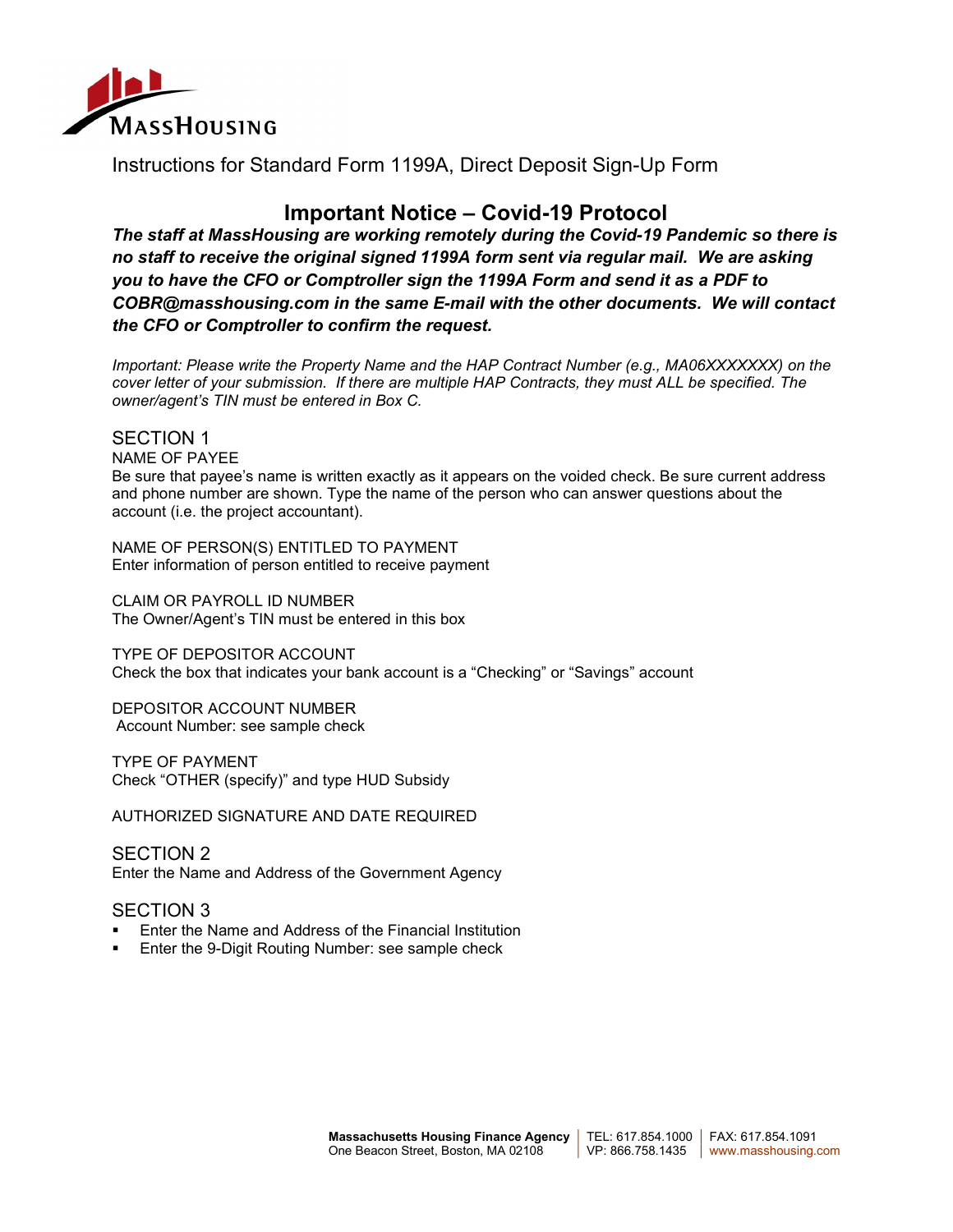

Instructions for Standard Form 1199A, Direct Deposit Sign-Up Form

## Important Notice – Covid-19 Protocol

The staff at MassHousing are working remotely during the Covid-19 Pandemic so there is no staff to receive the original signed 1199A form sent via regular mail. We are asking you to have the CFO or Comptroller sign the 1199A Form and send it as a PDF to COBR@masshousing.com in the same E-mail with the other documents. We will contact the CFO or Comptroller to confirm the request.

Important: Please write the Property Name and the HAP Contract Number (e.g., MA06XXXXXXX) on the cover letter of your submission. If there are multiple HAP Contracts, they must ALL be specified. The owner/agent's TIN must be entered in Box C.

## SECTION 1

NAME OF PAYEE

Be sure that payee's name is written exactly as it appears on the voided check. Be sure current address and phone number are shown. Type the name of the person who can answer questions about the account (i.e. the project accountant).

NAME OF PERSON(S) ENTITLED TO PAYMENT Enter information of person entitled to receive payment

CLAIM OR PAYROLL ID NUMBER The Owner/Agent's TIN must be entered in this box

TYPE OF DEPOSITOR ACCOUNT Check the box that indicates your bank account is a "Checking" or "Savings" account

DEPOSITOR ACCOUNT NUMBER Account Number: see sample check

TYPE OF PAYMENT Check "OTHER (specify)" and type HUD Subsidy

AUTHORIZED SIGNATURE AND DATE REQUIRED

SECTION 2 Enter the Name and Address of the Government Agency

## SECTION 3

- Enter the Name and Address of the Financial Institution
- Enter the 9-Digit Routing Number: see sample check